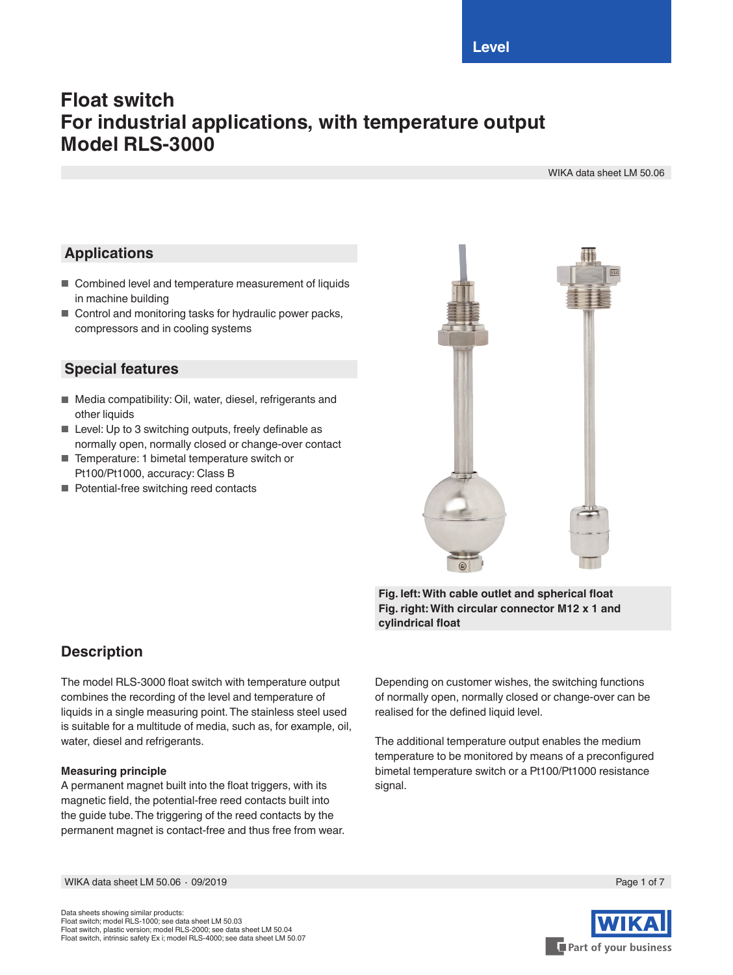# **Float switch For industrial applications, with temperature output Model RLS-3000**

WIKA data sheet LM 50.06

## **Applications**

- Combined level and temperature measurement of liquids in machine building
- Control and monitoring tasks for hydraulic power packs, compressors and in cooling systems

## **Special features**

- Media compatibility: Oil, water, diesel, refrigerants and other liquids
- Level: Up to 3 switching outputs, freely definable as normally open, normally closed or change-over contact
- Temperature: 1 bimetal temperature switch or Pt100/Pt1000, accuracy: Class B
- Potential-free switching reed contacts



**Fig. left: With cable outlet and spherical float Fig. right: With circular connector M12 x 1 and cylindrical float**

## **Description**

The model RLS-3000 float switch with temperature output combines the recording of the level and temperature of liquids in a single measuring point. The stainless steel used is suitable for a multitude of media, such as, for example, oil, water, diesel and refrigerants.

## **Measuring principle**

A permanent magnet built into the float triggers, with its magnetic field, the potential-free reed contacts built into the guide tube. The triggering of the reed contacts by the permanent magnet is contact-free and thus free from wear.

Depending on customer wishes, the switching functions of normally open, normally closed or change-over can be realised for the defined liquid level.

The additional temperature output enables the medium temperature to be monitored by means of a preconfigured bimetal temperature switch or a Pt100/Pt1000 resistance signal.

WIKA data sheet LM 50.06 ∙ 09/2019 Page 1 of 7

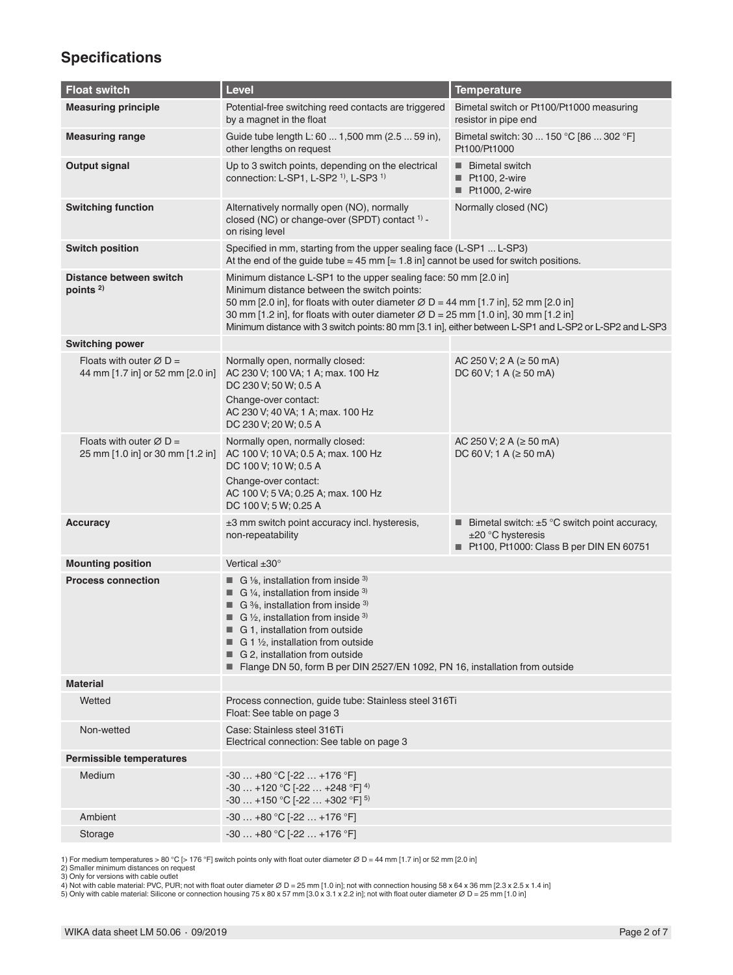# **Specifications**

| <b>Float switch</b>                                                     | Level                                                                                                                                                                                                                                                                                                                                                                                                                             | <b>Temperature</b>                                                                                                           |  |
|-------------------------------------------------------------------------|-----------------------------------------------------------------------------------------------------------------------------------------------------------------------------------------------------------------------------------------------------------------------------------------------------------------------------------------------------------------------------------------------------------------------------------|------------------------------------------------------------------------------------------------------------------------------|--|
| <b>Measuring principle</b>                                              | Potential-free switching reed contacts are triggered<br>by a magnet in the float                                                                                                                                                                                                                                                                                                                                                  | Bimetal switch or Pt100/Pt1000 measuring<br>resistor in pipe end                                                             |  |
| <b>Measuring range</b>                                                  | Guide tube length L: 60  1,500 mm (2.5  59 in),<br>other lengths on request                                                                                                                                                                                                                                                                                                                                                       | Bimetal switch: 30  150 °C [86  302 °F]<br>Pt100/Pt1000                                                                      |  |
| <b>Output signal</b>                                                    | Up to 3 switch points, depending on the electrical<br>connection: L-SP1, L-SP2 <sup>1)</sup> , L-SP3 <sup>1)</sup>                                                                                                                                                                                                                                                                                                                | <b>Bimetal switch</b><br>Pt100, 2-wire<br>Pt1000, 2-wire                                                                     |  |
| <b>Switching function</b>                                               | Alternatively normally open (NO), normally<br>closed (NC) or change-over (SPDT) contact <sup>1)</sup> -<br>on rising level                                                                                                                                                                                                                                                                                                        | Normally closed (NC)                                                                                                         |  |
| <b>Switch position</b>                                                  | Specified in mm, starting from the upper sealing face (L-SP1  L-SP3)<br>At the end of the guide tube $\approx 45$ mm [ $\approx 1.8$ in] cannot be used for switch positions.                                                                                                                                                                                                                                                     |                                                                                                                              |  |
| Distance between switch<br>points <sup>2)</sup>                         | Minimum distance L-SP1 to the upper sealing face: 50 mm [2.0 in]<br>Minimum distance between the switch points:<br>50 mm [2.0 in], for floats with outer diameter $\varnothing$ D = 44 mm [1.7 in], 52 mm [2.0 in]<br>30 mm [1.2 in], for floats with outer diameter $\varnothing$ D = 25 mm [1.0 in], 30 mm [1.2 in]<br>Minimum distance with 3 switch points: 80 mm [3.1 in], either between L-SP1 and L-SP2 or L-SP2 and L-SP3 |                                                                                                                              |  |
| <b>Switching power</b>                                                  |                                                                                                                                                                                                                                                                                                                                                                                                                                   |                                                                                                                              |  |
| Floats with outer $\varnothing$ D =<br>44 mm [1.7 in] or 52 mm [2.0 in] | Normally open, normally closed:<br>AC 230 V; 100 VA; 1 A; max. 100 Hz<br>DC 230 V; 50 W; 0.5 A<br>Change-over contact:<br>AC 230 V; 40 VA; 1 A; max. 100 Hz<br>DC 230 V; 20 W; 0.5 A                                                                                                                                                                                                                                              | AC 250 V; 2 A ( $\geq$ 50 mA)<br>DC 60 V; 1 A ( $\ge$ 50 mA)                                                                 |  |
| Floats with outer $\varnothing$ D =<br>25 mm [1.0 in] or 30 mm [1.2 in] | Normally open, normally closed:<br>AC 100 V; 10 VA; 0.5 A; max. 100 Hz<br>DC 100 V; 10 W; 0.5 A<br>Change-over contact:<br>AC 100 V; 5 VA; 0.25 A; max. 100 Hz<br>DC 100 V; 5 W; 0.25 A                                                                                                                                                                                                                                           | AC 250 V; 2 A ( $\geq$ 50 mA)<br>DC 60 V; 1 A ( $\geq$ 50 mA)                                                                |  |
| <b>Accuracy</b>                                                         | ±3 mm switch point accuracy incl. hysteresis,<br>non-repeatability                                                                                                                                                                                                                                                                                                                                                                | <b>E</b> Bimetal switch: $\pm 5$ °C switch point accuracy,<br>$±20 °C$ hysteresis<br>Pt100, Pt1000: Class B per DIN EN 60751 |  |
| <b>Mounting position</b>                                                | Vertical $\pm 30^\circ$                                                                                                                                                                                                                                                                                                                                                                                                           |                                                                                                                              |  |
| <b>Process connection</b>                                               | G $\frac{1}{8}$ , installation from inside $3$<br>ш<br>$\blacksquare$ G 1/4, installation from inside 3)<br>G $\frac{3}{6}$ , installation from inside $3$<br><b>G</b> 1/2, installation from inside 3)<br>■ G 1. installation from outside<br>$\blacksquare$ G 1 1/2, installation from outside<br>G 2. installation from outside<br>Flange DN 50, form B per DIN 2527/EN 1092, PN 16, installation from outside                 |                                                                                                                              |  |
| <b>Material</b>                                                         |                                                                                                                                                                                                                                                                                                                                                                                                                                   |                                                                                                                              |  |
| Wetted                                                                  | Process connection, guide tube: Stainless steel 316Ti<br>Float: See table on page 3                                                                                                                                                                                                                                                                                                                                               |                                                                                                                              |  |
| Non-wetted                                                              | Case: Stainless steel 316Ti<br>Electrical connection: See table on page 3                                                                                                                                                                                                                                                                                                                                                         |                                                                                                                              |  |
| <b>Permissible temperatures</b>                                         |                                                                                                                                                                                                                                                                                                                                                                                                                                   |                                                                                                                              |  |
| Medium                                                                  | $-30+80 °C [-22+176 °F]$<br>$-30$ +120 °C [-22  +248 °F] <sup>4)</sup><br>$-30$ +150 °C [-22  +302 °F] <sup>5)</sup>                                                                                                                                                                                                                                                                                                              |                                                                                                                              |  |
| Ambient                                                                 | $-30+80$ °C [ $-22+176$ °F]                                                                                                                                                                                                                                                                                                                                                                                                       |                                                                                                                              |  |
| Storage                                                                 | $-30+80 °C [-22+176 °F]$                                                                                                                                                                                                                                                                                                                                                                                                          |                                                                                                                              |  |

1) For medium temperatures > 80 °C [> 176 °F] switch points only with float outer diameter Ø D = 44 mm [1.7 in] or 52 mm [2.0 in]<br>2) Smaller minimum distances on request<br>3) Only for versions with cable outlet<br>4) Not with c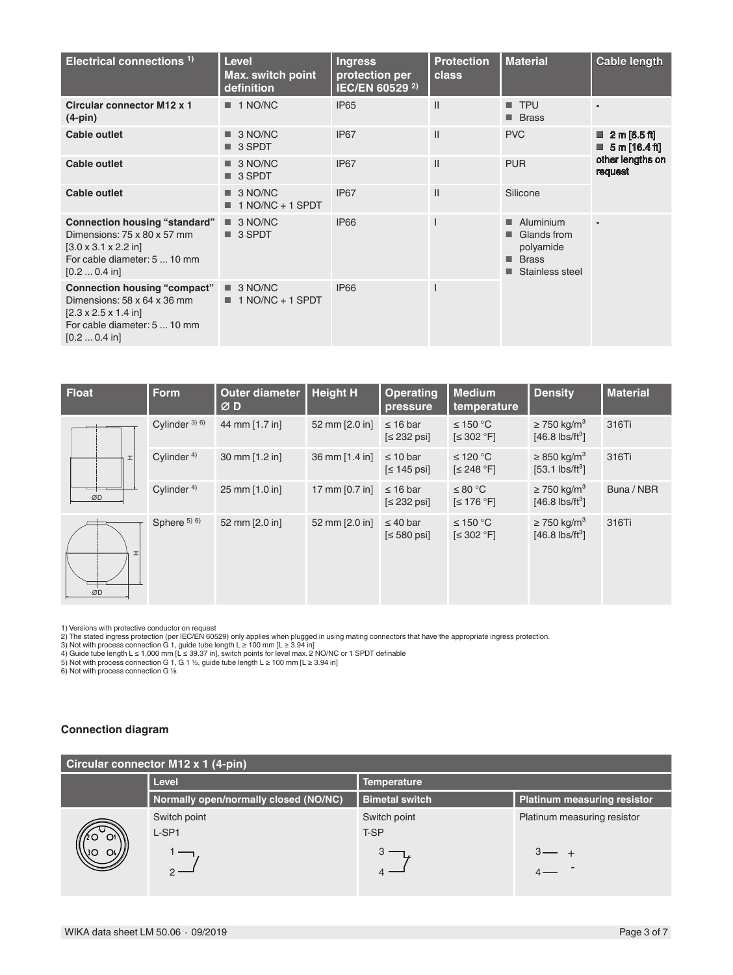| Electrical connections <sup>1)</sup>                                                                                                                                    | <b>Level</b><br><b>Max. switch point</b><br>definition | <b>Ingress</b><br>protection per<br>IEC/EN 60529 <sup>2)</sup> | <b>Protection</b><br>class | <b>Material</b>                                                                | <b>Cable length</b>                                         |
|-------------------------------------------------------------------------------------------------------------------------------------------------------------------------|--------------------------------------------------------|----------------------------------------------------------------|----------------------------|--------------------------------------------------------------------------------|-------------------------------------------------------------|
| <b>Circular connector M12 x 1</b><br>$(4-pin)$                                                                                                                          | $\blacksquare$ 1 NO/NC                                 | <b>IP65</b>                                                    | $\mathbf{II}$              | $\blacksquare$ TPU<br><b>Brass</b>                                             |                                                             |
| <b>Cable outlet</b>                                                                                                                                                     | $\blacksquare$ 3 NO/NC<br>■ 3 SPDT                     | IP67                                                           | $\mathsf{II}$              | <b>PVC</b>                                                                     | $\blacksquare$ 2 m [6.5 ft]<br>$\blacksquare$ 5 m [16.4 ft] |
| <b>Cable outlet</b>                                                                                                                                                     | 3 NO/NC<br>$\blacksquare$ 3 SPDT                       | IP67                                                           | $\mathsf{II}$              | <b>PUR</b>                                                                     | other lengths on<br>request                                 |
| Cable outlet                                                                                                                                                            | 3 NO/NC<br>$1 NQ/NC + 1$ SPDT                          | IP67                                                           | $\mathsf{II}$              | Silicone                                                                       |                                                             |
| <b>Connection housing "standard"</b><br>Dimensions: 75 x 80 x 57 mm<br>$[3.0 \times 3.1 \times 2.2]$ in<br>For cable diameter: 5  10 mm<br>$[0.2 \dots 0.4 \text{ in}]$ | $\Box$ 3 NO/NC<br>■ 3 SPDT                             | <b>IP66</b>                                                    |                            | Aluminium<br>п.<br>Glands from<br>polyamide<br><b>Brass</b><br>Stainless steel |                                                             |
| <b>Connection housing "compact"</b><br>Dimensions: 58 x 64 x 36 mm<br>$[2.3 \times 2.5 \times 1.4]$ in<br>For cable diameter: 5  10 mm<br>$[0.2 \dots 0.4 \text{ in}]$  | $\Box$ 3 NO/NC<br>$\blacksquare$ 1 NO/NC + 1 SPDT      | <b>IP66</b>                                                    |                            |                                                                                |                                                             |

| <b>Float</b>       | <b>Form</b>             | <b>Outer diameter</b><br>ØD | <b>Height H</b> | <b>Operating</b><br>pressure    | <b>Medium</b><br>temperature | <b>Density</b>                                                | <b>Material</b> |
|--------------------|-------------------------|-----------------------------|-----------------|---------------------------------|------------------------------|---------------------------------------------------------------|-----------------|
|                    | Cylinder $3)$ 6)        | 44 mm [1.7 in]              | 52 mm [2.0 in]  | $\leq 16$ bar<br>$\leq$ 232 psi | ≤ 150 °C<br>$\leq 302$ °F]   | $\geq$ 750 kg/m <sup>3</sup><br>$[46.8$ lbs/ft <sup>3</sup> ] | 316Ti           |
| H                  | Cylinder $4$ )          | 30 mm [1.2 in]              | 36 mm [1.4 in]  | $\leq 10$ bar<br>$\leq 145$ psi | ≤ 120 °C<br>$\leq$ 248 °F]   | $\geq$ 850 kg/m <sup>3</sup><br>$[53.1$ lbs/ft <sup>3</sup> ] | 316Ti           |
| ØD                 | Cylinder <sup>4)</sup>  | 25 mm [1.0 in]              | 17 mm [0.7 in]  | $\leq 16$ bar<br>$\leq$ 232 psi | ≤ 80 °C<br>$\leq 176$ °F]    | $\geq$ 750 kg/m <sup>3</sup><br>$[46.8$ lbs/ft <sup>3</sup> ] | Buna / NBR      |
| $\mathbf{I}$<br>ØD | Sphere <sup>5) 6)</sup> | 52 mm [2.0 in]              | 52 mm [2.0 in]  | $\leq 40$ bar<br>$\leq 580$ psi | ≤ 150 °C<br>$\leq 302$ °F]   | $\geq$ 750 kg/m <sup>3</sup><br>$[46.8$ lbs/ft <sup>3</sup> ] | 316Ti           |

1) Versions with protective conductor on request<br>2) The stated ingress protection (per IEC/EN 60529) only applies when plugged in using mating connectors that have the appropriate ingress protection.<br>3) Not with process c

6) Not with process connection G ⅛

### **Connection diagram**

| Circular connector M12 x 1 (4-pin) |  |
|------------------------------------|--|
|------------------------------------|--|

| $\frac{1}{2}$ |                                       |                       |                             |  |  |
|---------------|---------------------------------------|-----------------------|-----------------------------|--|--|
|               | Level                                 | <b>Temperature</b>    |                             |  |  |
|               | Normally open/normally closed (NO/NC) | <b>Bimetal switch</b> | Platinum measuring resistor |  |  |
|               | Switch point                          | Switch point          | Platinum measuring resistor |  |  |
|               | L-SP1                                 | T-SP                  |                             |  |  |
| Q4/l<br>A3O   |                                       |                       |                             |  |  |
|               |                                       |                       |                             |  |  |
|               |                                       |                       |                             |  |  |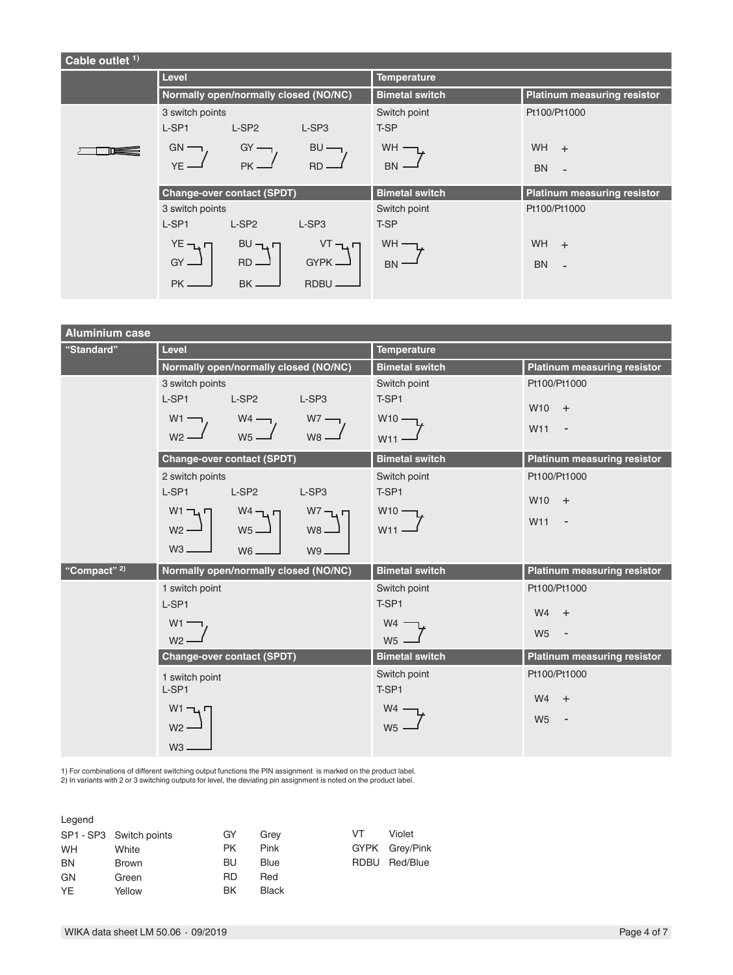| Cable outlet <sup>1)</sup> |                                                                                                                                                                                                                                            |                                                                  |                                                                                                      |
|----------------------------|--------------------------------------------------------------------------------------------------------------------------------------------------------------------------------------------------------------------------------------------|------------------------------------------------------------------|------------------------------------------------------------------------------------------------------|
|                            | Level                                                                                                                                                                                                                                      | <b>Temperature</b>                                               |                                                                                                      |
|                            | Normally open/normally closed (NO/NC)                                                                                                                                                                                                      | <b>Bimetal switch</b>                                            | <b>Platinum measuring resistor</b>                                                                   |
|                            | 3 switch points<br>L-SP1<br>L-SP <sub>2</sub><br>L-SP <sub>3</sub><br>$GN -$<br>$GY$ —<br>$BU -$<br>YE -<br>PK.<br>$RD -$                                                                                                                  | Switch point<br>T-SP<br><b>WH</b><br><b>BN</b>                   | Pt100/Pt1000<br>WH<br>$\ddot{}$<br><b>BN</b><br>$\blacksquare$                                       |
|                            | <b>Change-over contact (SPDT)</b><br>3 switch points<br>L-SP1<br>$L-SP2$<br>L-SP <sub>3</sub><br>$YE$ $\neg$ <sub>L</sub> $\neg$<br>$VT - L$<br>$BU - L$<br>$GY =$<br>$RD -$<br>$GYPK$ $\longrightarrow$<br>BK<br><b>PK</b><br><b>RDBU</b> | <b>Bimetal switch</b><br>Switch point<br>T-SP<br>WH<br><b>BN</b> | <b>Platinum measuring resistor</b><br>Pt100/Pt1000<br>WH<br>$\ddot{}$<br><b>BN</b><br>$\blacksquare$ |

| <b>Aluminium case</b>   |                                                 |                       |                                            |  |
|-------------------------|-------------------------------------------------|-----------------------|--------------------------------------------|--|
| "Standard"              | Level                                           | <b>Temperature</b>    |                                            |  |
|                         | Normally open/normally closed (NO/NC)           | <b>Bimetal switch</b> | <b>Platinum measuring resistor</b>         |  |
|                         | 3 switch points                                 | Switch point          | Pt100/Pt1000                               |  |
|                         | L-SP1<br>L-SP <sub>2</sub><br>L-SP <sub>3</sub> | T-SP1                 | W10<br>$+$                                 |  |
|                         | $W1$ —<br>$W4$ —<br>$W7 -$                      | $W10 -$               |                                            |  |
|                         | W <sub>5</sub> .<br>$W8 -$<br>$W2 -$            | W11                   | W11<br>$\overline{\phantom{a}}$            |  |
|                         | <b>Change-over contact (SPDT)</b>               | <b>Bimetal switch</b> | <b>Platinum measuring resistor</b>         |  |
|                         | 2 switch points                                 | Switch point          | Pt100/Pt1000                               |  |
|                         | L-SP1<br>L-SP <sub>2</sub><br>L-SP3             | T-SP1                 | W <sub>10</sub><br>$+$                     |  |
|                         | $W1 - L$<br>$W4 - L$<br>$W^7 - L$               | $W10 -$               |                                            |  |
|                         | $W5 -$<br>$W2 -$<br>$W8 -$                      | W11                   | W11<br>$\overline{\phantom{a}}$            |  |
|                         | $W3 -$<br>$W6 -$<br>W9-                         |                       |                                            |  |
| "Compact" <sup>2)</sup> | Normally open/normally closed (NO/NC)           | <b>Bimetal switch</b> | <b>Platinum measuring resistor</b>         |  |
|                         | 1 switch point                                  | Switch point          | Pt100/Pt1000                               |  |
|                         | L-SP1                                           | T-SP1                 | W <sub>4</sub><br>$+$                      |  |
|                         | W <sub>1</sub>                                  | W4                    |                                            |  |
|                         | $W2$ .                                          | W <sub>5</sub>        | W <sub>5</sub><br>$\overline{\phantom{a}}$ |  |
|                         | <b>Change-over contact (SPDT)</b>               | <b>Bimetal switch</b> | <b>Platinum measuring resistor</b>         |  |
|                         | 1 switch point                                  | Switch point          | Pt100/Pt1000                               |  |
|                         | L-SP1                                           | T-SP1                 | W <sub>4</sub><br>$+$                      |  |
|                         | $W1$ $\neg$                                     | W4                    |                                            |  |
|                         | $W2 -$                                          | W <sub>5</sub>        | W <sub>5</sub><br>$\overline{\phantom{a}}$ |  |
|                         | $W3 -$                                          |                       |                                            |  |
|                         |                                                 |                       |                                            |  |

1) For combinations of different switching output functions the PIN assignment is marked on the product label.<br>2) In variants with 2 or 3 switching outputs for level, the deviating pin assignment is noted on the product l

| Legend    |                         |           |              |      |                |
|-----------|-------------------------|-----------|--------------|------|----------------|
|           | SP1 - SP3 Switch points | GY        | Grev         | VT   | Violet         |
| <b>WH</b> | White                   | <b>PK</b> | Pink         |      | GYPK Grey/Pink |
| <b>BN</b> | <b>Brown</b>            | BU        | Blue         | RDBU | Red/Blue       |
| GN        | Green                   | <b>RD</b> | Red          |      |                |
| <b>YE</b> | Yellow                  | ΒK        | <b>Black</b> |      |                |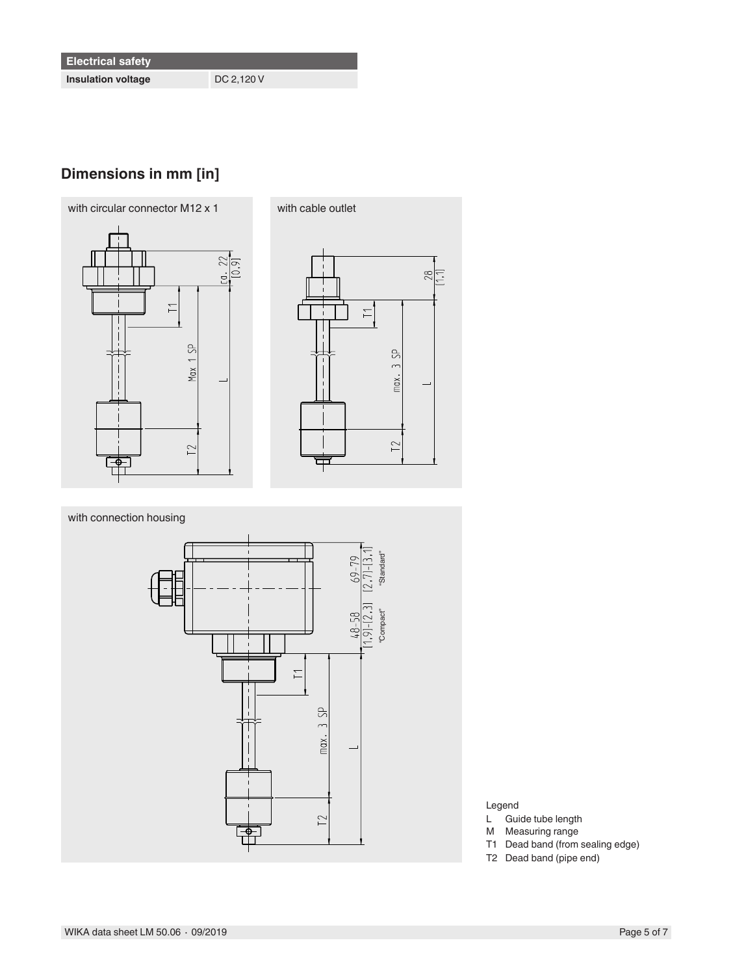**Insulation voltage** DC 2,120 V

# **Dimensions in mm [in]**





with connection housing



- Legend
- L Guide tube length
- M Measuring range
- T1 Dead band (from sealing edge)
- T2 Dead band (pipe end)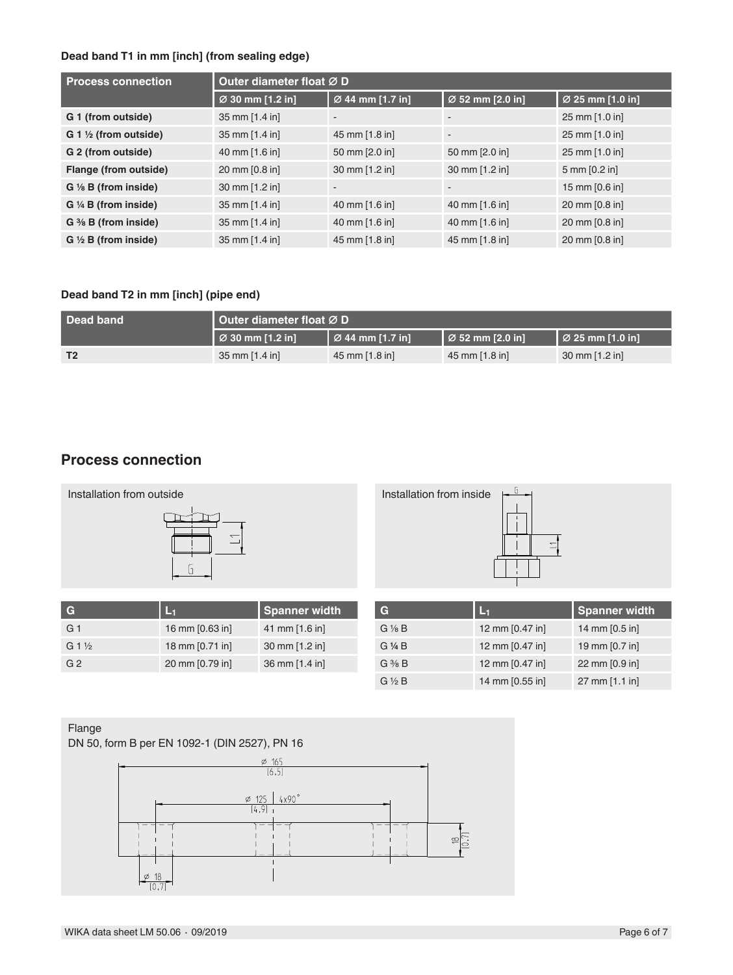## **Dead band T1 in mm [inch] (from sealing edge)**

| <b>Process connection</b>            | Outer diameter float Ø D |                          |                          |                                 |  |
|--------------------------------------|--------------------------|--------------------------|--------------------------|---------------------------------|--|
|                                      | Ø 30 mm [1.2 in]         | Ø 44 mm [1.7 in]         | Ø 52 mm [2.0 in]         | Ø 25 mm [1.0 in]                |  |
| G 1 (from outside)                   | 35 mm [1.4 in]           | $\overline{\phantom{a}}$ | $\overline{\phantom{a}}$ | 25 mm [1.0 in]                  |  |
| $G_1 \frac{1}{2}$ (from outside)     | 35 mm [1.4 in]           | 45 mm [1.8 in]           | ٠                        | 25 mm [1.0 in]                  |  |
| G 2 (from outside)                   | 40 mm [1.6 in]           | 50 mm [2.0 in]           | 50 mm [2.0 in]           | 25 mm [1.0 in]                  |  |
| Flange (from outside)                | 20 mm [0.8 in]           | 30 mm [1.2 in]           | 30 mm [1.2 in]           | $5 \text{ mm} [0.2 \text{ in}]$ |  |
| $G \n$ $\frac{1}{8}$ B (from inside) | 30 mm [1.2 in]           | $\overline{\phantom{a}}$ | $\overline{\phantom{a}}$ | 15 mm [0.6 in]                  |  |
| $G \nmid A$ B (from inside)          | 35 mm [1.4 in]           | 40 mm [1.6 in]           | 40 mm [1.6 in]           | 20 mm [0.8 in]                  |  |
| $G \mathcal{H} B$ (from inside)      | 35 mm [1.4 in]           | 40 mm [1.6 in]           | 40 mm [1.6 in]           | 20 mm [0.8 in]                  |  |
| $G \ntriangleleft B$ (from inside)   | 35 mm [1.4 in]           | 45 mm [1.8 in]           | 45 mm [1.8 in]           | 20 mm [0.8 in]                  |  |

## **Dead band T2 in mm [inch] (pipe end)**

| Dead band      | Outer diameter float ØD      |                           |                                    |                                    |  |
|----------------|------------------------------|---------------------------|------------------------------------|------------------------------------|--|
|                | $\varnothing$ 30 mm [1.2 in] | $\sqrt{2}$ 44 mm [1.7 in] | $\vert \varnothing$ 52 mm [2.0 in] | $\vert \varnothing$ 25 mm [1.0 in] |  |
| T <sub>2</sub> | 35 mm $[1.4 \text{ in}]$     | 45 mm [1.8 in]            | $45 \text{ mm}$ [1.8 in]           | $30 \text{ mm}$ [1.2 in]           |  |

## **Process connection**



| IC.             |                 | <b>Spanner width</b> |
|-----------------|-----------------|----------------------|
| G <sub>1</sub>  | 16 mm [0.63 in] | 41 mm [1.6 in]       |
| $G1\frac{1}{2}$ | 18 mm [0.71 in] | 30 mm [1.2 in]       |
| G <sub>2</sub>  | 20 mm [0.79 in] | 36 mm [1.4 in]       |

| G                 | L.              | <b>Spanner width</b> |
|-------------------|-----------------|----------------------|
| $G\frac{1}{8}B$   | 12 mm [0.47 in] | 14 mm [0.5 in]       |
| G 1/4 B           | 12 mm [0.47 in] | 19 mm [0.7 in]       |
| $G \frac{3}{8} B$ | 12 mm [0.47 in] | 22 mm [0.9 in]       |
| $G \nless B$      | 14 mm [0.55 in] | 27 mm [1.1 in]       |

### Flange

DN 50, form B per EN 1092-1 (DIN 2527), PN 16